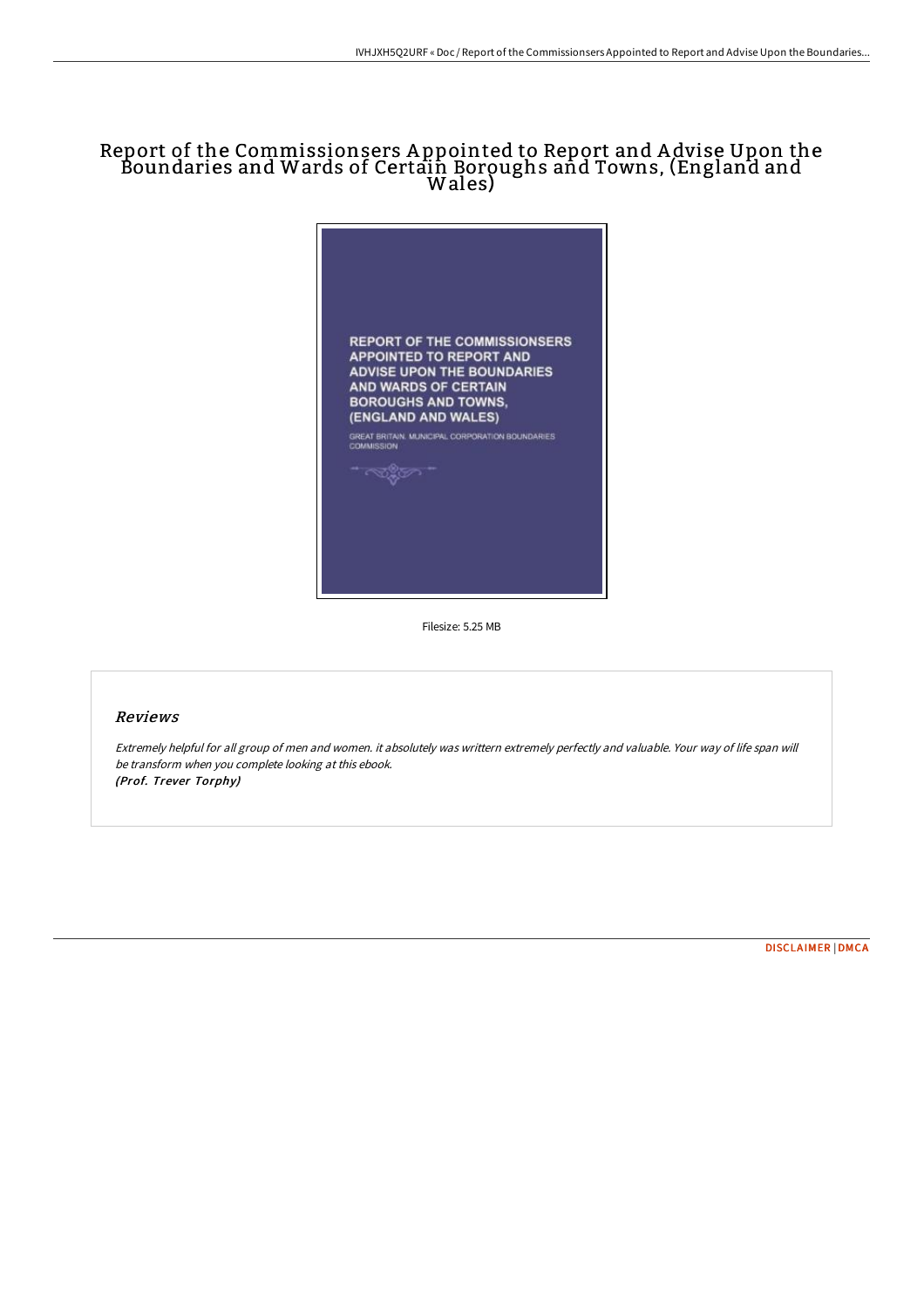# Report of the Commissionsers A ppointed to Report and A dvise Upon the Boundaries and Wards of Certain Boroughs and Towns, (England and Wales)



Filesize: 5.25 MB

### Reviews

Extremely helpful for all group of men and women. it absolutely was writtern extremely perfectly and valuable. Your way of life span will be transform when you complete looking at this ebook. (Prof. Trever Torphy)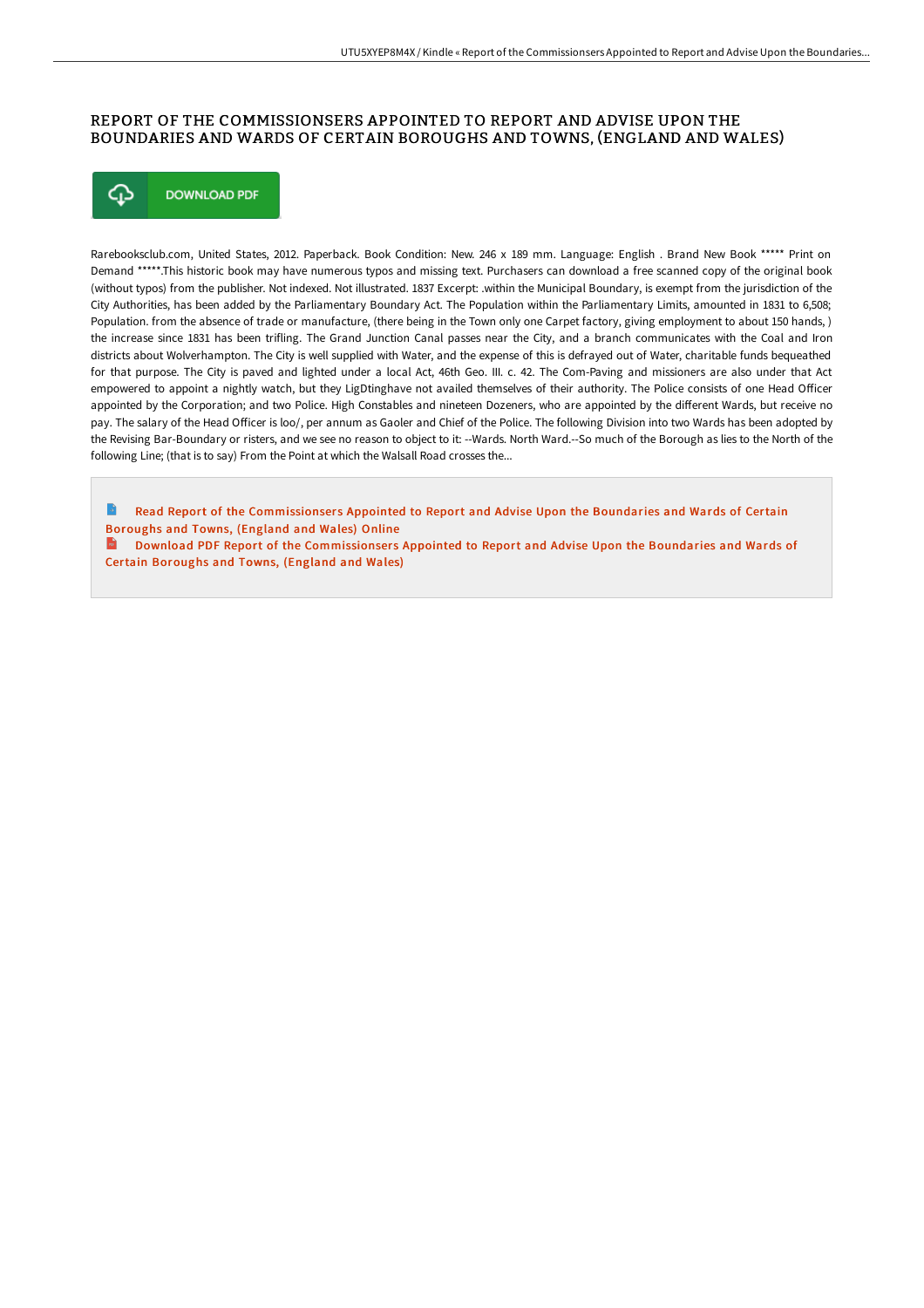## REPORT OF THE COMMISSIONSERS APPOINTED TO REPORT AND ADVISE UPON THE BOUNDARIES AND WARDS OF CERTAIN BOROUGHS AND TOWNS, (ENGLAND AND WALES)



Rarebooksclub.com, United States, 2012. Paperback. Book Condition: New. 246 x 189 mm. Language: English . Brand New Book \*\*\*\*\* Print on Demand \*\*\*\*\*.This historic book may have numerous typos and missing text. Purchasers can download a free scanned copy of the original book (without typos) from the publisher. Not indexed. Not illustrated. 1837 Excerpt: .within the Municipal Boundary, is exempt from the jurisdiction of the City Authorities, has been added by the Parliamentary Boundary Act. The Population within the Parliamentary Limits, amounted in 1831 to 6,508; Population. from the absence of trade or manufacture, (there being in the Town only one Carpet factory, giving employment to about 150 hands, ) the increase since 1831 has been trifling. The Grand Junction Canal passes near the City, and a branch communicates with the Coal and Iron districts about Wolverhampton. The City is well supplied with Water, and the expense of this is defrayed out of Water, charitable funds bequeathed for that purpose. The City is paved and lighted under a local Act, 46th Geo. III. c. 42. The Com-Paving and missioners are also under that Act empowered to appoint a nightly watch, but they LigDtinghave not availed themselves of their authority. The Police consists of one Head Officer appointed by the Corporation; and two Police. High Constables and nineteen Dozeners, who are appointed by the different Wards, but receive no pay. The salary of the Head Officer is loo/, per annum as Gaoler and Chief of the Police. The following Division into two Wards has been adopted by the Revising Bar-Boundary or risters, and we see no reason to object to it: --Wards. North Ward.--So much of the Borough as lies to the North of the following Line; (that is to say) From the Point at which the Walsall Road crosses the...

Read Report of the [Commissionser](http://digilib.live/report-of-the-commissionsers-appointed-to-report.html) s Appointed to Report and Advise Upon the Boundaries and Wards of Certain Boroughs and Towns, (England and Wales) Online

 $\mathbf{m}$ Download PDF Report of the [Commissionser](http://digilib.live/report-of-the-commissionsers-appointed-to-report.html)s Appointed to Report and Advise Upon the Boundaries and Wards of Certain Boroughs and Towns, (England and Wales)